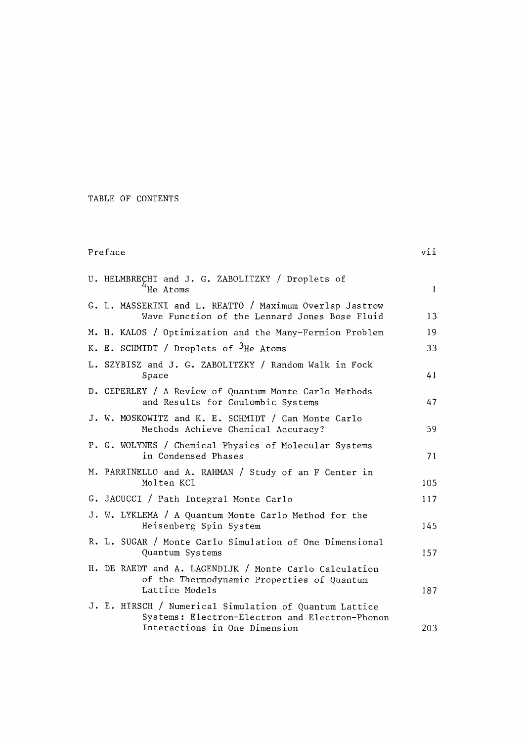## TABLE OF CONTENTS

## Preface viiw and the contract of the contract of the contract of the contract of the contract of the contract of the contract of the contract of the contract of the contract of the contract of the contract of the contract

| U. HELMBRECHT and J. G. ZABOLITZKY / Droplets of<br>He Atoms                                                                              | $\mathbf{1}$ |
|-------------------------------------------------------------------------------------------------------------------------------------------|--------------|
| G. L. MASSERINI and L. REATTO / Maximum Overlap Jastrow<br>Wave Function of the Lennard Jones Bose Fluid                                  | 13           |
| M. H. KALOS / Optimization and the Many-Fermion Problem                                                                                   | 19           |
| K. E. SCHMIDT / Droplets of <sup>3</sup> He Atoms                                                                                         | 33           |
| L. SZYBISZ and J. G. ZABOLITZKY / Random Walk in Fock<br>Space                                                                            | 41           |
| D. CEPERLEY / A Review of Quantum Monte Carlo Methods<br>and Results for Coulombic Systems                                                | 47           |
| J. W. MOSKOWITZ and K. E. SCHMIDT / Can Monte Carlo<br>Methods Achieve Chemical Accuracy?                                                 | 59           |
| P. G. WOLYNES / Chemical Physics of Molecular Systems<br>in Condensed Phases                                                              | 71           |
| M. PARRINELLO and A. RAHMAN / Study of an F Center in<br>Molten KCl                                                                       | 105          |
| G. JACUCCI / Path Integral Monte Carlo                                                                                                    | 117          |
| J. W. LYKLEMA / A Quantum Monte Carlo Method for the<br>Heisenberg Spin System                                                            | 145          |
| R. L. SUGAR / Monte Carlo Simulation of One Dimensional<br>Quantum Systems                                                                | 157          |
| H. DE RAEDT and A. LAGENDIJK / Monte Carlo Calculation<br>of the Thermodynamic Properties of Quantum<br>Lattice Models                    | 187          |
| J. E. HIRSCH / Numerical Simulation of Quantum Lattice<br>Systems: Electron-Electron and Electron-Phonon<br>Interactions in One Dimension | 203          |